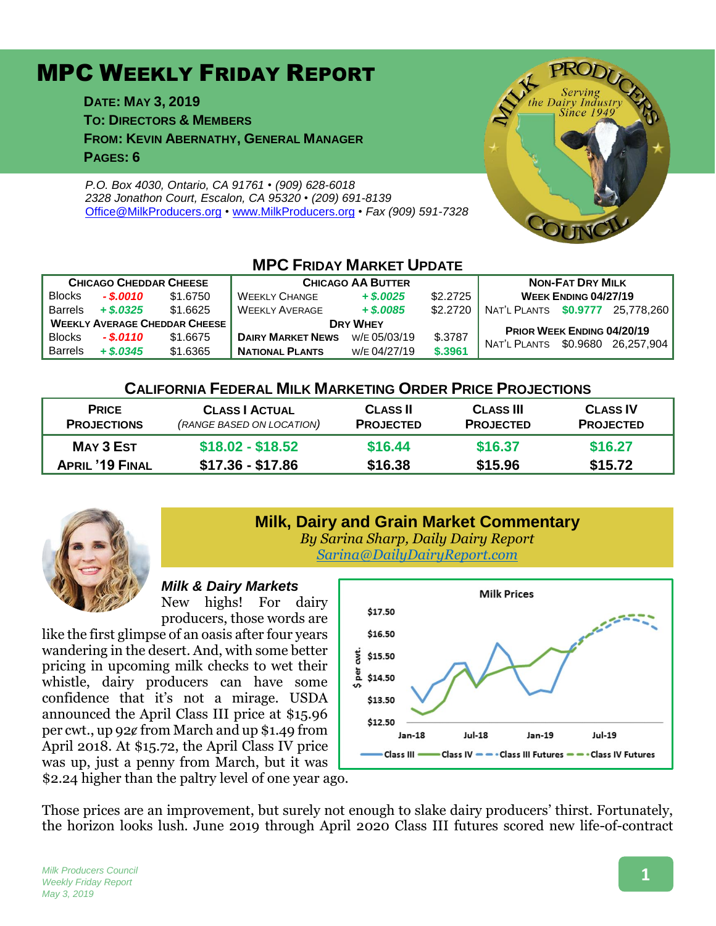# MPC WEEKLY FRIDAY REPORT

**DATE: MAY 3, 2019 TO: DIRECTORS & MEMBERS FROM: KEVIN ABERNATHY, GENERAL MANAGER PAGES: 6**

*P.O. Box 4030, Ontario, CA 91761 • (909) 628-6018 2328 Jonathon Court, Escalon, CA 95320 • (209) 691-8139* [Office@MilkProducers.org](mailto:office@milkproducers.org) *•* [www.MilkProducers.org](http://www.milkproducers.org/) *• Fax (909) 591-7328*



| <b>IVIFU FRIDAY IVIARKET UPDATE</b>  |              |          |                          |              |          |                                  |  |                     |  |  |  |  |
|--------------------------------------|--------------|----------|--------------------------|--------------|----------|----------------------------------|--|---------------------|--|--|--|--|
| <b>CHICAGO CHEDDAR CHEESE</b>        |              |          | <b>CHICAGO AA BUTTER</b> |              |          | <b>NON-FAT DRY MILK</b>          |  |                     |  |  |  |  |
| <b>Blocks</b>                        | $-$ \$.0010  | \$1,6750 | <b>WEEKLY CHANGE</b>     | $+$ \$,0025  | \$2.2725 | <b>WEEK ENDING 04/27/19</b>      |  |                     |  |  |  |  |
| <b>Barrels</b>                       | $+$ \$.0325  | \$1.6625 | <b>WEEKLY AVERAGE</b>    | $+$ \$,0085  | \$2,2720 | NAT'L PLANTS \$0.9777 25.778.260 |  |                     |  |  |  |  |
| <b>WEEKLY AVERAGE CHEDDAR CHEESE</b> |              |          | <b>DRY WHEY</b>          |              |          | PRIOR WEEK ENDING 04/20/19       |  |                     |  |  |  |  |
| <b>Blocks</b>                        | $-.$ \$.0110 | \$1.6675 | <b>DAIRY MARKET NEWS</b> | W/E 05/03/19 | \$.3787  | NAT'L PLANTS                     |  | \$0.9680 26.257.904 |  |  |  |  |
| <b>Barrels</b>                       | $+$ \$.0345  | \$1.6365 | <b>NATIONAL PLANTS</b>   | W/E 04/27/19 | \$.3961  |                                  |  |                     |  |  |  |  |

**MPC FRIDAY MARKET UPDATE**

### **CALIFORNIA FEDERAL MILK MARKETING ORDER PRICE PROJECTIONS**

| <b>PRICE</b>           | <b>CLASS   ACTUAL</b>     | <b>CLASS II</b>  | <b>CLASS III</b> | <b>CLASS IV</b>  |
|------------------------|---------------------------|------------------|------------------|------------------|
| <b>PROJECTIONS</b>     | (RANGE BASED ON LOCATION) | <b>PROJECTED</b> | <b>PROJECTED</b> | <b>PROJECTED</b> |
| MAY 3 EST              | $$18.02 - $18.52$         | \$16.44          | \$16.37          | \$16.27          |
| <b>APRIL '19 FINAL</b> | \$17.36 - \$17.86         | \$16.38          | \$15.96          | \$15.72          |



# **Milk, Dairy and Grain Market Commentary**

*By Sarina Sharp, Daily Dairy Report [Sarina@DailyDairyReport.com](mailto:Sarina@DailyDairyReport.com)*

### *Milk & Dairy Markets*

New highs! For dairy producers, those words are

like the first glimpse of an oasis after four years wandering in the desert. And, with some better pricing in upcoming milk checks to wet their whistle, dairy producers can have some confidence that it's not a mirage. USDA announced the April Class III price at \$15.96 per cwt., up 92ȼ from March and up \$1.49 from April 2018. At \$15.72, the April Class IV price was up, just a penny from March, but it was \$2.24 higher than the paltry level of one year ago.



Those prices are an improvement, but surely not enough to slake dairy producers' thirst. Fortunately, the horizon looks lush. June 2019 through April 2020 Class III futures scored new life-of-contract

# **1**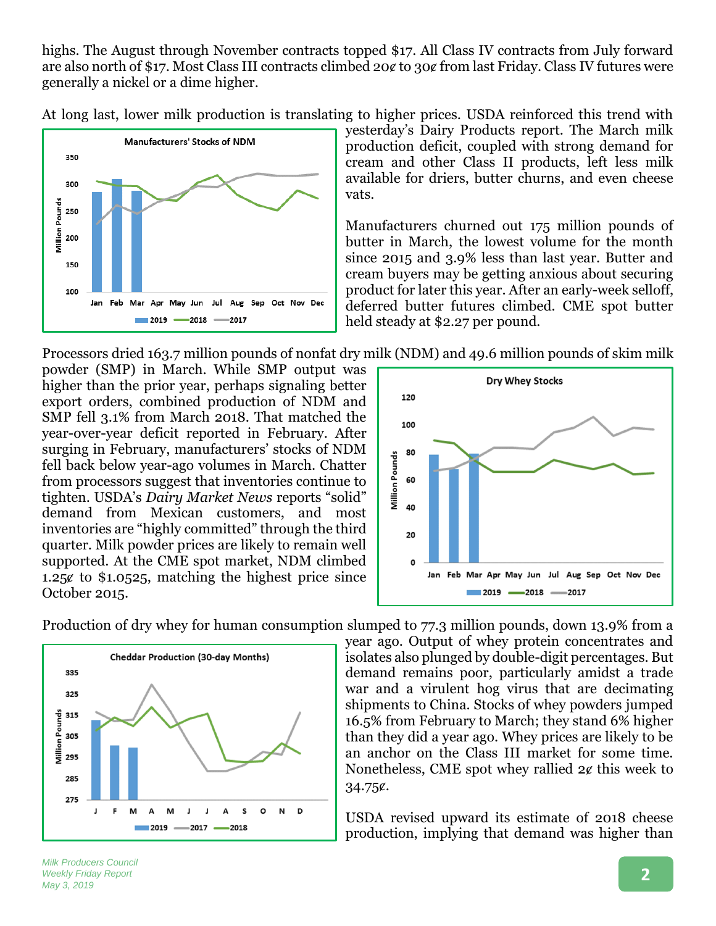highs. The August through November contracts topped \$17. All Class IV contracts from July forward are also north of \$17. Most Class III contracts climbed 20¢ to 30¢ from last Friday. Class IV futures were generally a nickel or a dime higher.

At long last, lower milk production is translating to higher prices. USDA reinforced this trend with



yesterday's Dairy Products report. The March milk production deficit, coupled with strong demand for cream and other Class II products, left less milk available for driers, butter churns, and even cheese vats.

Manufacturers churned out 175 million pounds of butter in March, the lowest volume for the month since 2015 and 3.9% less than last year. Butter and cream buyers may be getting anxious about securing product for later this year. After an early-week selloff, deferred butter futures climbed. CME spot butter held steady at \$2.27 per pound.

Processors dried 163.7 million pounds of nonfat dry milk (NDM) and 49.6 million pounds of skim milk

powder (SMP) in March. While SMP output was higher than the prior year, perhaps signaling better export orders, combined production of NDM and SMP fell 3.1% from March 2018. That matched the year-over-year deficit reported in February. After surging in February, manufacturers' stocks of NDM fell back below year-ago volumes in March. Chatter from processors suggest that inventories continue to tighten. USDA's *Dairy Market News* reports "solid" demand from Mexican customers, and most inventories are "highly committed" through the third quarter. Milk powder prices are likely to remain well supported. At the CME spot market, NDM climbed 1.25 $\ell$  to \$1.0525, matching the highest price since October 2015.



Production of dry whey for human consumption slumped to 77.3 million pounds, down 13.9% from a



year ago. Output of whey protein concentrates and isolates also plunged by double-digit percentages. But demand remains poor, particularly amidst a trade war and a virulent hog virus that are decimating shipments to China. Stocks of whey powders jumped 16.5% from February to March; they stand 6% higher than they did a year ago. Whey prices are likely to be an anchor on the Class III market for some time. Nonetheless, CME spot whey rallied  $2¢$  this week to 34.75ȼ.

USDA revised upward its estimate of 2018 cheese production, implying that demand was higher than

*Milk Producers Council Weekly Friday Report May 3, 2019*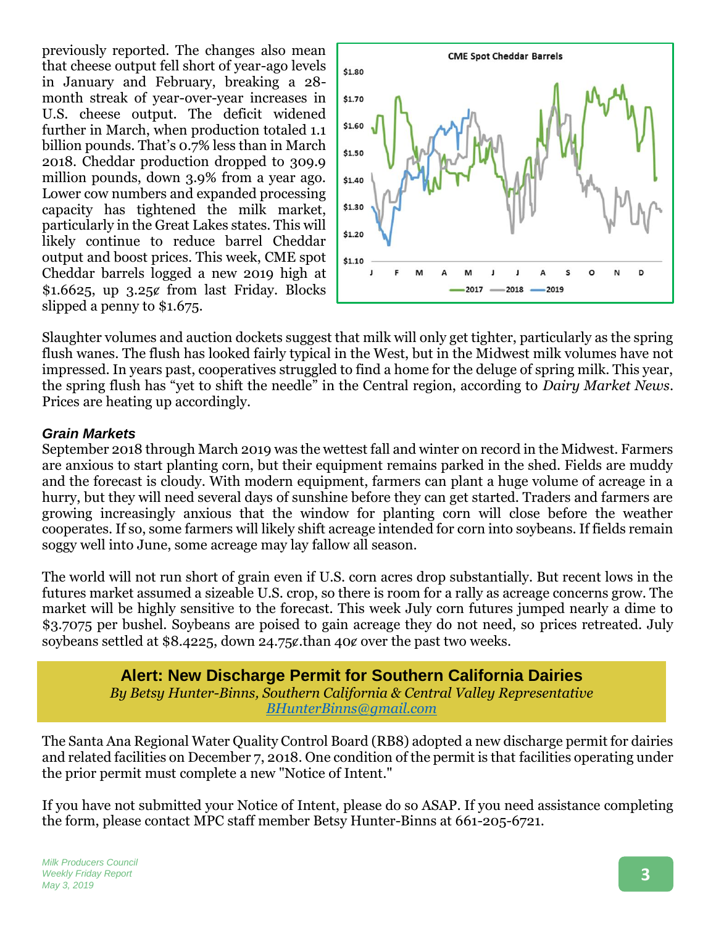previously reported. The changes also mean that cheese output fell short of year-ago levels in January and February, breaking a 28 month streak of year-over-year increases in U.S. cheese output. The deficit widened further in March, when production totaled 1.1 billion pounds. That's 0.7% less than in March 2018. Cheddar production dropped to 309.9 million pounds, down 3.9% from a year ago. Lower cow numbers and expanded processing capacity has tightened the milk market, particularly in the Great Lakes states. This will likely continue to reduce barrel Cheddar output and boost prices. This week, CME spot Cheddar barrels logged a new 2019 high at  $$1.6625$ , up  $3.25¢$  from last Friday. Blocks slipped a penny to \$1.675.



Slaughter volumes and auction dockets suggest that milk will only get tighter, particularly as the spring flush wanes. The flush has looked fairly typical in the West, but in the Midwest milk volumes have not impressed. In years past, cooperatives struggled to find a home for the deluge of spring milk. This year, the spring flush has "yet to shift the needle" in the Central region, according to *Dairy Market News*. Prices are heating up accordingly.

### *Grain Markets*

September 2018 through March 2019 was the wettest fall and winter on record in the Midwest. Farmers are anxious to start planting corn, but their equipment remains parked in the shed. Fields are muddy and the forecast is cloudy. With modern equipment, farmers can plant a huge volume of acreage in a hurry, but they will need several days of sunshine before they can get started. Traders and farmers are growing increasingly anxious that the window for planting corn will close before the weather cooperates. If so, some farmers will likely shift acreage intended for corn into soybeans. If fields remain soggy well into June, some acreage may lay fallow all season.

The world will not run short of grain even if U.S. corn acres drop substantially. But recent lows in the futures market assumed a sizeable U.S. crop, so there is room for a rally as acreage concerns grow. The market will be highly sensitive to the forecast. This week July corn futures jumped nearly a dime to \$3.7075 per bushel. Soybeans are poised to gain acreage they do not need, so prices retreated. July soybeans settled at \$8.4225, down 24.75¢, than 40¢ over the past two weeks.

> **Alert: New Discharge Permit for Southern California Dairies** *By Betsy Hunter-Binns, Southern California & Central Valley Representative [BHunterBinns@gmail.com](mailto:BHunterBinns@gmail.com)*

The Santa Ana Regional Water Quality Control Board (RB8) adopted a new discharge permit for dairies and related facilities on December 7, 2018. One condition of the permit is that facilities operating under the prior permit must complete a new "Notice of Intent."

If you have not submitted your Notice of Intent, please do so ASAP. If you need assistance completing the form, please contact MPC staff member Betsy Hunter-Binns at 661-205-6721.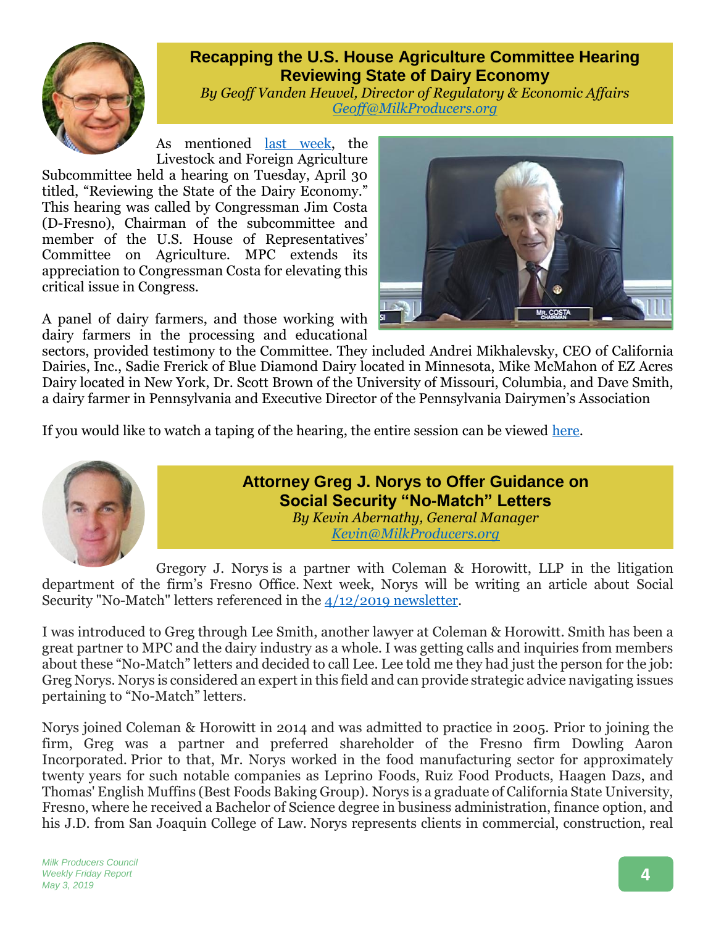

# **Recapping the U.S. House Agriculture Committee Hearing Reviewing State of Dairy Economy**

*By Geoff Vanden Heuvel, Director of Regulatory & Economic Affairs [Geoff@MilkProducers.org](mailto:Geoff@MilkProducers.org)*

As mentioned [last week,](http://www.milkproducerscouncil.org/wp-content/uploads/newsletter_2019/2019-04-26%20MPC%20Newsletter.pdf) the Livestock and Foreign Agriculture

Subcommittee held a hearing on Tuesday, April 30 titled, "Reviewing the State of the Dairy Economy." This hearing was called by Congressman Jim Costa (D-Fresno), Chairman of the subcommittee and member of the U.S. House of Representatives' Committee on Agriculture. MPC extends its appreciation to Congressman Costa for elevating this critical issue in Congress.

A panel of dairy farmers, and those working with dairy farmers in the processing and educational

sectors, provided testimony to the Committee. They included Andrei Mikhalevsky, CEO of California Dairies, Inc., Sadie Frerick of Blue Diamond Dairy located in Minnesota, Mike McMahon of EZ Acres Dairy located in New York, Dr. Scott Brown of the University of Missouri, Columbia, and Dave Smith, a dairy farmer in Pennsylvania and Executive Director of the Pennsylvania Dairymen's Association

If you would like to watch a taping of the hearing, the entire session can be viewed [here.](https://www.youtube.com/watch?v=FzjrjOZolbI)



**Attorney Greg J. Norys to Offer Guidance on Social Security "No-Match" Letters**

*By Kevin Abernathy, General Manager Kevin@MilkProducers.org*

Gregory J. Norys is a partner with Coleman & Horowitt, LLP in the litigation department of the firm's Fresno Office. Next week, Norys will be writing an article about Social Security "No-Match" letters referenced in the [4/12/2019 newsletter.](http://www.milkproducerscouncil.org/wp-content/uploads/newsletter_2019/2019-04-12%20MPC%20Newsletter.pdf)

I was introduced to Greg through Lee Smith, another lawyer at Coleman & Horowitt. Smith has been a great partner to MPC and the dairy industry as a whole. I was getting calls and inquiries from members about these "No-Match" letters and decided to call Lee. Lee told me they had just the person for the job: Greg Norys. Norys is considered an expert in this field and can provide strategic advice navigating issues pertaining to "No-Match" letters.

Norys joined Coleman & Horowitt in 2014 and was admitted to practice in 2005. Prior to joining the firm, Greg was a partner and preferred shareholder of the Fresno firm Dowling Aaron Incorporated. Prior to that, Mr. Norys worked in the food manufacturing sector for approximately twenty years for such notable companies as Leprino Foods, Ruiz Food Products, Haagen Dazs, and Thomas' English Muffins (Best Foods Baking Group). Norys is a graduate of California State University, Fresno, where he received a Bachelor of Science degree in business administration, finance option, and his J.D. from San Joaquin College of Law. Norys represents clients in commercial, construction, real

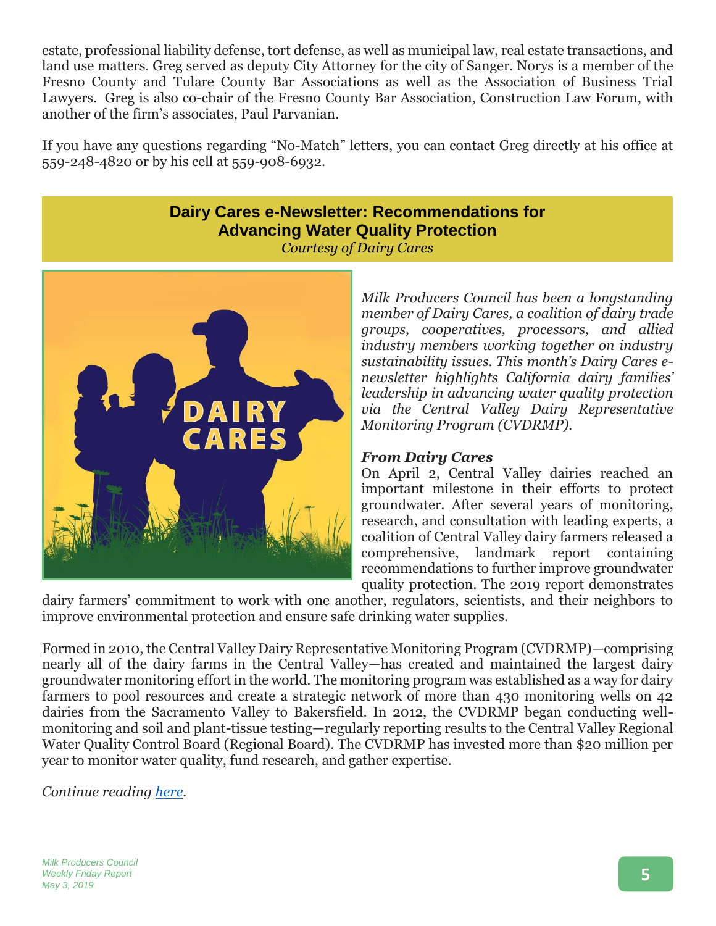estate, professional liability defense, tort defense, as well as municipal law, real estate transactions, and land use matters. Greg served as deputy City Attorney for the city of Sanger. Norys is a member of the Fresno County and Tulare County Bar Associations as well as the Association of Business Trial Lawyers. Greg is also co-chair of the Fresno County Bar Association, Construction Law Forum, with another of the firm's associates, Paul Parvanian.

If you have any questions regarding "No-Match" letters, you can contact Greg directly at his office at 559-248-4820 or by his cell at 559-908-6932.

# **Dairy Cares e-Newsletter: Recommendations for Advancing Water Quality Protection**

*Courtesy of Dairy Cares*



*Milk Producers Council has been a longstanding member of Dairy Cares, a coalition of dairy trade groups, cooperatives, processors, and allied industry members working together on industry sustainability issues. This month's Dairy Cares enewsletter highlights California dairy families' leadership in advancing water quality protection via the Central Valley Dairy Representative Monitoring Program (CVDRMP).* 

### *From Dairy Cares*

On April 2, Central Valley dairies reached an important milestone in their efforts to protect groundwater. After several years of monitoring, research, and consultation with leading experts, a coalition of Central Valley dairy farmers released a comprehensive, landmark report containing recommendations to further improve groundwater quality protection. The 2019 report demonstrates

dairy farmers' commitment to work with one another, regulators, scientists, and their neighbors to improve environmental protection and ensure safe drinking water supplies.

Formed in 2010, the Central Valley Dairy Representative Monitoring Program (CVDRMP)—comprising nearly all of the dairy farms in the Central Valley—has created and maintained the largest dairy groundwater monitoring effort in the world. The monitoring program was established as a way for dairy farmers to pool resources and create a strategic network of more than 430 monitoring wells on 42 dairies from the Sacramento Valley to Bakersfield. In 2012, the CVDRMP began conducting wellmonitoring and soil and plant-tissue testing—regularly reporting results to the Central Valley Regional Water Quality Control Board (Regional Board). The CVDRMP has invested more than \$20 million per year to monitor water quality, fund research, and gather expertise.

*Continue reading [here.](https://www.dairycares.com/e-news/recommendations-for-advancing-water-quality-protection)*